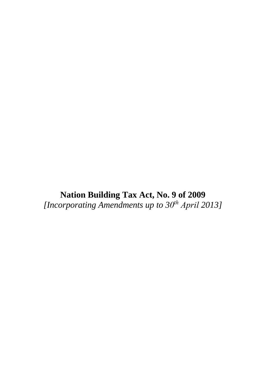**Nation Building Tax Act, No. 9 of 2009**  *[Incorporating Amendments up to 30 <sup>t</sup><sup>h</sup> April 2013]*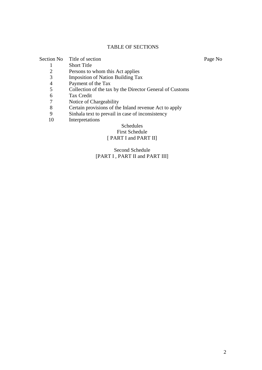# TABLE OF SECTIONS

|    | Section No Title of section                              | Page No |
|----|----------------------------------------------------------|---------|
|    | <b>Short Title</b>                                       |         |
| 2  | Persons to whom this Act applies                         |         |
| 3  | <b>Imposition of Nation Building Tax</b>                 |         |
| 4  | Payment of the Tax                                       |         |
| 5  | Collection of the tax by the Director General of Customs |         |
| 6  | Tax Credit                                               |         |
| 7  | Notice of Chargeability                                  |         |
| 8  | Certain provisions of the Inland revenue Act to apply    |         |
| 9  | Sinhala text to prevail in case of inconsistency         |         |
| 10 | Interpretations                                          |         |
|    | $C0$ is a distance                                       |         |

## Schedules First Schedule [ PART I and PART II]

# Second Schedule [PART I, PART II and PART III]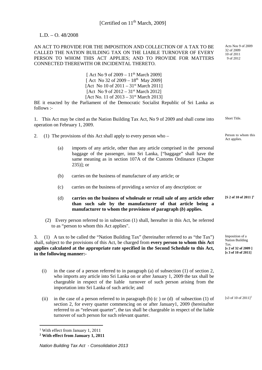### L.D. – O. 48/2008

AN ACT TO PROVIDE FOR THE IMPOSITION AND COLLECTION OF A TAX TO BE CALLED THE NATION BUILDING TAX ON THE LIABLE TURNOVER OF EVERY PERSON TO WHOM THIS ACT APPLIES; AND TO PROVIDE FOR MATTERS CONNECTED THEREWITH OR INCIDENTAL THERETO.

> [ Act No 9 of  $2009 - 11^{th}$  March 2009] [ Act No 32 of 2009 –  $18^{th}$  May 2009] [Act No 10 of  $2011 - 31$ <sup>st</sup> March 2011] [Act No 9 of  $2012 - 31$ <sup>st</sup> March 2012] [Act No. 11 of  $2013 - 31$ <sup>st</sup> March 2013]

BE it enacted by the Parliament of the Democratic Socialist Republic of Sri Lanka as follows :-

1. This Act may be cited as the Nation Building Tax Act, No 9 of 2009 and shall come into operation on February 1, 2009.

- 2. (1) The provisions of this Act shall apply to every person who Person to whom this
	- (a) imports of any article, other than any article comprised in the personal baggage of the passenger, into Sri Lanka, ["baggage" shall have the same meaning as in section 107A of the Customs Ordinance (Chapter 235)]; or
	- (b) carries on the business of manufacture of any article; or
	- (c) carries on the business of providing a service of any description: or
	- (d) **carries on the business of wholesale or retail sale of any article other than such sale by the manufacturer of that article being a manufacturer to whom the provisions of paragraph (***b***) applies. [S 2 of 10 of 2011 ][1](#page-2-0)**
	- (2) Every person referred to in subsection (1) shall, hereafter in this Act, be referred to as "person to whom this Act applies".

3. (1) A tax to be called the "Nation Building Tax" (hereinafter referred to as "the Tax") shall, subject to the provisions of this Act, be charged from **every person to whom this Act applies calculated at the appropriate rate specified in the Second Schedule to this Act, in the following manner:-**

- (i) in the case of a person referred to in paragraph (a) of subsection (1) of section 2, who imports any article into Sri Lanka on or after January 1, 2009 the tax shall be chargeable in respect of the liable turnover of such person arising from the importation into Sri Lanka of such article; and
- (ii) in the case of a person referred to in paragraph (b)  $(c)$  or (d) of subsection (1) of section 2, for every quarter commencing on or after January1, 2009 (hereinafter referred to as "relevant quarter", the tax shall be chargeable in respect of the liable turnover of such person for such relevant quarter.

-

Acts Nos 9 of 2009 32 of 2009 10 of 2011 9 of 2012

Short Title.

Act applies.

Imposition of a Nation Building Tax. **[s 2 of 32 of 2009 ] [s 3 of 10 of 2011]**

[s3 of 10 of [2](#page-2-1)011]<sup>2</sup>

<span id="page-2-0"></span><sup>&</sup>lt;sup>1</sup> With effect from January 1, 2011

<span id="page-2-1"></span>**<sup>2</sup> With effect from January 1, 2011**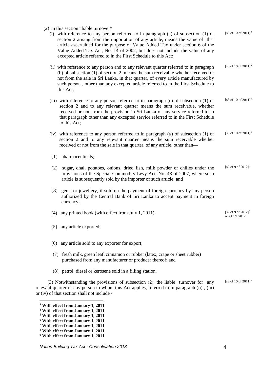(2) In this section "liable turnover"

| section 2 arising from the importation of any article, means the value of that<br>article ascertained for the purpose of Value Added Tax under section 6 of the<br>Value Added Tax Act, No. 14 of 2002, but does not include the value of any<br>[s3 of 10 of 2011] <sup>4</sup><br>(ii) with reference to any person and to any relevant quarter referred to in paragraph<br>(b) of subsection $(1)$ of section 2, means the sum receivable whether received or<br>not from the sale in Sri Lanka, in that quarter, of every article manufactured by<br>such person, other than any excepted article referred to in the First Schedule to<br>[s3 of 10 of 2011] <sup>5</sup><br>(iii) with reference to any person referred to in paragraph (c) of subsection (1) of<br>section 2 and to any relevant quarter means the sum receivable, whether<br>received or not, from the provision in Sri Lanka of any service referred to in<br>that paragraph other than any excepted service referred to in the First Schedule<br>[s3 of 10 of 2011] <sup>6</sup><br>(iv) with reference to any person referred to in paragraph $(d)$ of subsection $(1)$ of<br>section 2 and to any relevant quarter means the sum receivable whether |
|--------------------------------------------------------------------------------------------------------------------------------------------------------------------------------------------------------------------------------------------------------------------------------------------------------------------------------------------------------------------------------------------------------------------------------------------------------------------------------------------------------------------------------------------------------------------------------------------------------------------------------------------------------------------------------------------------------------------------------------------------------------------------------------------------------------------------------------------------------------------------------------------------------------------------------------------------------------------------------------------------------------------------------------------------------------------------------------------------------------------------------------------------------------------------------------------------------------------------------|
|                                                                                                                                                                                                                                                                                                                                                                                                                                                                                                                                                                                                                                                                                                                                                                                                                                                                                                                                                                                                                                                                                                                                                                                                                                |
|                                                                                                                                                                                                                                                                                                                                                                                                                                                                                                                                                                                                                                                                                                                                                                                                                                                                                                                                                                                                                                                                                                                                                                                                                                |
|                                                                                                                                                                                                                                                                                                                                                                                                                                                                                                                                                                                                                                                                                                                                                                                                                                                                                                                                                                                                                                                                                                                                                                                                                                |
|                                                                                                                                                                                                                                                                                                                                                                                                                                                                                                                                                                                                                                                                                                                                                                                                                                                                                                                                                                                                                                                                                                                                                                                                                                |
|                                                                                                                                                                                                                                                                                                                                                                                                                                                                                                                                                                                                                                                                                                                                                                                                                                                                                                                                                                                                                                                                                                                                                                                                                                |
| [s2 of 9 of $2012$ ] <sup>7</sup>                                                                                                                                                                                                                                                                                                                                                                                                                                                                                                                                                                                                                                                                                                                                                                                                                                                                                                                                                                                                                                                                                                                                                                                              |
|                                                                                                                                                                                                                                                                                                                                                                                                                                                                                                                                                                                                                                                                                                                                                                                                                                                                                                                                                                                                                                                                                                                                                                                                                                |
| [s2 of 9 of $2012$ ] <sup>8</sup><br>w.e.f 1/1/2012                                                                                                                                                                                                                                                                                                                                                                                                                                                                                                                                                                                                                                                                                                                                                                                                                                                                                                                                                                                                                                                                                                                                                                            |
|                                                                                                                                                                                                                                                                                                                                                                                                                                                                                                                                                                                                                                                                                                                                                                                                                                                                                                                                                                                                                                                                                                                                                                                                                                |
|                                                                                                                                                                                                                                                                                                                                                                                                                                                                                                                                                                                                                                                                                                                                                                                                                                                                                                                                                                                                                                                                                                                                                                                                                                |
|                                                                                                                                                                                                                                                                                                                                                                                                                                                                                                                                                                                                                                                                                                                                                                                                                                                                                                                                                                                                                                                                                                                                                                                                                                |
|                                                                                                                                                                                                                                                                                                                                                                                                                                                                                                                                                                                                                                                                                                                                                                                                                                                                                                                                                                                                                                                                                                                                                                                                                                |
| [s3 of 10 of $2011$ ] <sup>9</sup>                                                                                                                                                                                                                                                                                                                                                                                                                                                                                                                                                                                                                                                                                                                                                                                                                                                                                                                                                                                                                                                                                                                                                                                             |
| sugar, dhal, potatoes, onions, dried fish, milk powder or chilies under the<br>provisions of the Special Commodity Levy Act, No. 48 of 2007, where such<br>(3) gems or jewellery, if sold on the payment of foreign currency by any person<br>authorized by the Central Bank of Sri Lanka to accept payment in foreign<br>(3) Notwithstanding the provisions of subsection (2), the liable turnover for any<br>relevant quarter of any person to whom this Act applies, referred to in paragraph (ii), (iii)                                                                                                                                                                                                                                                                                                                                                                                                                                                                                                                                                                                                                                                                                                                   |

<span id="page-3-0"></span>**<sup>3</sup> With effect from January 1, 2011**

<span id="page-3-1"></span>**<sup>4</sup> With effect from January 1, 2011**

<span id="page-3-2"></span>**<sup>5</sup> With effect from January 1, 2011**

<span id="page-3-3"></span>**<sup>6</sup> With effect from January 1, 2011**

<span id="page-3-4"></span>**<sup>7</sup> With effect from January 1, 2011**

<span id="page-3-5"></span>**<sup>8</sup> With effect from January 1, 2011**

<span id="page-3-6"></span>**<sup>9</sup> With effect from January 1, 2011**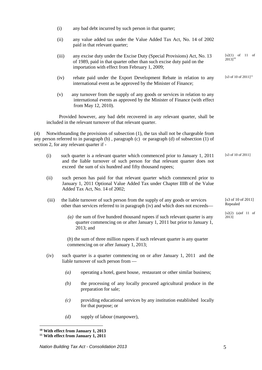|       | (i)   | any bad debt incurred by such person in that quarter;                                                                                                                                                                              |                                   |
|-------|-------|------------------------------------------------------------------------------------------------------------------------------------------------------------------------------------------------------------------------------------|-----------------------------------|
|       | (ii)  | any value added tax under the Value Added Tax Act, No. 14 of 2002<br>paid in that relevant quarter;                                                                                                                                |                                   |
|       | (iii) | any excise duty under the Excise Duty (Special Provisions) Act, No. 13<br>of 1989, paid in that quarter other than such excise duty paid on the<br>importation with effect from February 1, 2009;                                  | $[s2(1)$ of 11 of<br>$2013]^{10}$ |
|       | (iv)  | rebate paid under the Export Development Rebate in relation to any<br>international event as be approved by the Minister of Finance;                                                                                               | [s3 of 10 of 2011] <sup>11</sup>  |
|       | (v)   | any turnover from the supply of any goods or services in relation to any<br>international events as approved by the Minister of Finance (with effect<br>from May 12, 2010).                                                        |                                   |
|       |       | Provided however, any bad debt recovered in any relevant quarter, shall be<br>included in the relevant turnover of that relevant quarter.                                                                                          |                                   |
| (4)   |       | Notwithstanding the provisions of subsection (1), the tax shall not be chargeable from<br>any person referred to in paragraph (b), paragraph (c) or paragraph (d) of subsection (1) of<br>section 2, for any relevant quarter if - |                                   |
| (i)   |       | such quarter is a relevant quarter which commenced prior to January 1, 2011<br>and the liable turnover of such person for that relevant quarter does not<br>exceed the sum of six hundred and fifty thousand rupees;               | [s3 of 10 of 2011]                |
| (ii)  |       | such person has paid for that relevant quarter which commenced prior to<br>January 1, 2011 Optional Value Added Tax under Chapter IIIB of the Value<br>Added Tax Act, No. 14 of 2002;                                              |                                   |
| (iii) |       | the liable turnover of such person from the supply of any goods or services<br>other than services referred to in paragraph (iv) and which does not exceeds—                                                                       | [s3 of 10 of 2011]<br>Repealed    |
|       |       | $(a)$ the sum of five hundred thousand rupees if such relevant quarter is any<br>quarter commencing on or after January 1, 2011 but prior to January 1,<br>$2013$ ; and                                                            | $[s2(2) (a)$ of 11 of<br>2013]    |
|       |       | $(b)$ the sum of three million rupees if such relevant quarter is any quarter<br>commencing on or after January 1, 2013;                                                                                                           |                                   |
| (iv)  |       | such quarter is a quarter commencing on or after January 1, 2011 and the<br>liable turnover of such person from —                                                                                                                  |                                   |
|       | (a)   | operating a hotel, guest house, restaurant or other similar business;                                                                                                                                                              |                                   |
|       | (b)   | the processing of any locally procured agricultural produce in the<br>preparation for sale;                                                                                                                                        |                                   |
|       | (c)   | providing educational services by any institution established locally<br>for that purpose; or                                                                                                                                      |                                   |
|       | (d)   | supply of labour (manpower),                                                                                                                                                                                                       |                                   |

<span id="page-4-1"></span><span id="page-4-0"></span>**<sup>11</sup> With effect from January 1, 2011**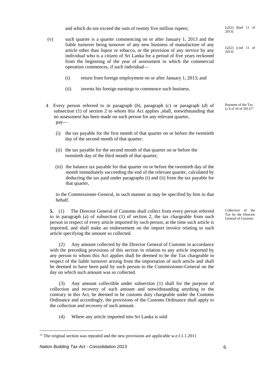and which do not exceed the sum of twenty five million rupees;

- (v) such quarter is a quarter commencing on or after January 1, 2013 and the liable turnover being turnover of any new business of manufacture of any article other than liquor or tobacco, or the provision of any service by any individual who is a citizen of Sri Lanka for a period of five years reckoned from the beginning of the year of assessment in which the commercial operation commences, if such individual—
	- (i) return from foreign employment on or after January 1, 2013; and
	- (ii) invests his foreign earnings to commence such business.
- 4 Every person referred to in paragraph (*b*), paragraph (*c*) or paragraph (*d*) of subsection (1) of section 2 to whom this Act applies ,shall, notwithstanding that no assessment has been made on such person for any relevant quarter, pay—
	- (i) the tax payable for the first month of that quarter on or before the twentieth day of the second month of that quarter;
	- (ii) the tax payable for the second month of that quarter on or before the twentieth day of the third month of that quarter;
	- (iii) the balance tax payable for that quarter on or before the twentieth day of the month immediately succeeding the end of the relevant quarter, calculated by deducting the tax paid under paragraphs (i) and (ii) from the tax payable for that quarter,

to the Commissioner-General, in such manner as may be specified by him in that behalf.

**5.** (1) The Director General of Customs shall collect from every person referred to in paragraph (a) of subsection (1) of section 2, the tax chargeable from such person in respect of every article imported by such person, at the time such article is imported, and shall make an endorsement on the import invoice relating to such article specifying the amount so collected.

(2) Any amount collected by the Director General of Customs in accordance with the preceding provisions of this section in relation to any article imported by any person to whom this Act applies shall be deemed to be the Tax chargeable in respect of the liable turnover arising from the importation of such article and shall be deemed to have been paid by such person to the Commissioner-General on the day on which such amount was so collected.

(3) Any amount collectible under subsection (1) shall for the purpose of collection and recovery of such amount and notwithstanding anything to the contrary in this Act, be deemed to be customs duty chargeable under the Customs Ordinance and accordingly, the provisions of the Customs Ordinance shall apply to the collection and recovery of such amount.

(4) Where any article imported into Sri Lanka is sold

<u>.</u>

 $[s2(2)$  (b)of 11 of 2013]

 $[s2(2)$  (c)of 11 of 2013]

Payment of the Tax.  $[s\ 4\$  of 10 of 2011]<sup>[12](#page-5-0)</sup>

Collection of the Tax by the Director General of Customs

<span id="page-5-0"></span><sup>&</sup>lt;sup>12</sup> The original section was repealed and the new provisions are applicable w.e.f.1.1.2011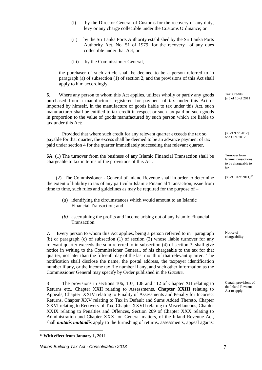- (i) by the Director General of Customs for the recovery of any duty, levy or any charge collectible under the Customs Ordinance; or
- (ii) by the Sri Lanka Ports Authority established by the Sri Lanka Ports Authority Act, No. 51 of 1979, for the recovery of any dues collectible under that Act; or
- (iii) by the Commissioner General,

the purchaser of such article shall be deemed to be a person referred to in paragraph (a) of subsection (1) of section 2, and the provisions of this Act shall apply to him accordingly.

**6.** Where any person to whom this Act applies, utilizes wholly or partly any goods purchased from a manufacturer registered for payment of tax under this Act or imported by himself, in the manufacture of goods liable to tax under this Act, such manufacturer shall be entitled to tax credit in respect or such tax paid on such goods in proportion to the value of goods manufactured by such person which are liable to tax under this Act:

Provided that where such credit for any relevant quarter exceeds the tax so payable for that quarter, the excess shall be deemed to be an advance payment of tax paid under section 4 for the quarter immediately succeeding that relevant quarter.

**6A**. (1) The turnover from the business of any Islamic Financial Transaction shall be chargeable to tax in terms of the provisions of this Act.

(2) The Commissioner - General of Inland Revenue shall in order to determine the extent of liability to tax of any particular Islamic Financial Transaction, issue from time to time, such rules and guidelines as may be required for the purpose of –

- (*a*) identifying the circumstances which would amount to an Islamic Financial Transaction; and
- (*b)* ascertaining the profits and income arising out of any Islamic Financial Transaction.

**7**. Every person to whom this Act applies, being a person referred to in paragraph (b) or paragraph (c) of subsection (1) of section (2) whose liable turnover for any relevant quarter exceeds the sum referred to in subsection (4) of section 3, shall give notice in writing to the Commissioner General, of his chargeable to the tax for that quarter, not later than the fifteenth day of the last month of that relevant quarter. The notification shall disclose the name, the postal address, the taxpayer identification number if any, or the income tax file number if any, and such other information as the Commissioner General may specify by Order published in the *Gazette.*

8 The provisions in sections 106, 107, 108 and 112 of Chapter XII relating to Returns etc., Chapter XXII relating to Assessments, **Chapter XXIII** relating to Appeals, Chapter XXIV relating to Finality of Assessments and Penalty for Incorrect Returns, Chapter XXV relating to Tax in Default and Sums Added Thereto, Chapter XXVI relating to Recovery of Tax, Chapter XXVII relating to Miscellaneous, Chapter XXIX relating to Penalties and Offences, Section 209 of Chapter XXX relating to Administration and Chapter XXXI on General matters, of the Inland Revenue Act, shall *mutatis mutandis* apply to the furnishing of returns, assessments, appeal against

<u>.</u>

Tax Credits [s 5 of 10 of 2011]

[s3 of 9 of 2012] w.e.f 1/1/2012

Turnover from Islamic ransactions to be chargeable to tax

[s6 of 10 of  $2011$ ]<sup>[13](#page-6-0)</sup>

Notice of chargeability

Certain provisions of the Inland Revenue Act to apply.

<span id="page-6-0"></span>**<sup>13</sup> With effect from January 1, 2011**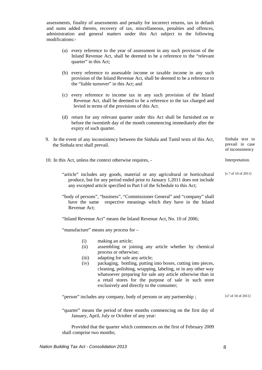assessments, finality of assessments and penalty for incorrect returns, tax in default and sums added thereto, recovery of tax, miscellaneous, penalties and offences, administration and general matters under this Act subject to the following modifications:-

- (a) every reference to the year of assessment in any such provision of the Inland Revenue Act, shall be deemed to be a reference to the "relevant quarter" in this Act:
- (b) every reference to assessable income or taxable income in any such provision of the Inland Revenue Act, shall be deemed to be a reference to the "liable turnover" in this Act; and
- (c) every reference to income tax in any such provision of the Inland Revenue Act, shall be deemed to be a reference to the tax charged and levied in terms of the provisions of this Act.
- (d) return for any relevant quarter under this Act shall be furnished on or before the twentieth day of the month commencing immediately after the expiry of such quarter.
- 9. In the event of any inconsistency between the Sinhala and Tamil texts of this Act, the Sinhala text shall prevail.
- 10. In this Act, unless the context otherwise requires, Interpretation.
	- "article" includes any goods, material or any agricultural or horticultural produce, but for any period ended prior to January 1,2011 does not include any excepted article specified in Part I of the Schedule to this Act;
	- "body of persons", "business", "Commissioner General" and "company" shall have the same respective meanings which they have in the Inland Revenue Act;

"Inland Revenue Act" means the Inland Revenue Act, No. 10 of 2006;

"manufacture" means any process for –

- (i) making an article;
- (ii) assembling or joining any article whether by chemical process or otherwise;
- (iii) adapting for sale any article;
- (iv) packaging, bottling, putting into boxes, cutting into pieces, cleaning, polishing, wrapping, labeling, or in any other way whatsoever preparing for sale any article otherwise than in a retail stores for the purpose of sale in such store exclusively and directly to the consumer;

"person" includes any company, body of persons or any partnership ; [s7 of 10 of 2011]

"quarter" means the period of three months commencing on the first day of January, April, July or October of any year:

Provided that the quarter which commences on the first of February 2009 shall comprise two months;

Sinhala text to prevail in case of inconsistency

[s 7 of 10 of 2011]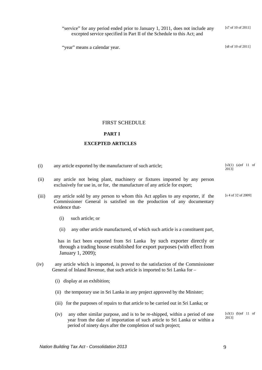excepted service specified in Part II of the Schedule to this Act; and "year" means a calendar year. [s8 of 10 of 2011]

"service" for any period ended prior to January 1, 2011, does not include any

[s7 of 10 of 2011]

### FIRST SCHEDULE

# **PART I**

# **EXCEPTED ARTICLES**

| (i)   | any article exported by the manufacturer of such article;                                                                                                                   | $[s3(1) (a)$ of 11 of<br>2013] |
|-------|-----------------------------------------------------------------------------------------------------------------------------------------------------------------------------|--------------------------------|
| (ii)  | any article not being plant, machinery or fixtures imported by any person<br>exclusively for use in, or for, the manufacture of any article for export;                     |                                |
| (iii) | any article sold by any person to whom this Act applies to any exporter, if the<br>Commissioner General is satisfied on the production of any documentary<br>evidence that- | [s 4 of 32 of 2009]            |
|       | such article; or<br>(i)                                                                                                                                                     |                                |
|       | any other article manufactured, of which such article is a constituent part,<br>(ii)                                                                                        |                                |
|       | has in fact been exported from Sri Lanka by such exporter directly or<br>through a trading house established for export purposes (with effect from<br>January 1, 2009);     |                                |
| (iv)  | any article which is imported, is proved to the satisfaction of the Commissioner<br>General of Inland Revenue, that such article is imported to Sri Lanka for -             |                                |
|       | (i) display at an exhibition;                                                                                                                                               |                                |
|       | (ii) the temporary use in Sri Lanka in any project approved by the Minister;                                                                                                |                                |
|       | (iii) for the purposes of repairs to that article to be carried out in Sri Lanka; or                                                                                        |                                |
|       | any other similar purpose, and is to be re-shipped, within a period of one<br>(iv)<br>year from the date of importation of such article to Sri Lanka or within a            | $[s3(1) (b)$ of 11 of<br>2013] |

period of ninety days after the completion of such project;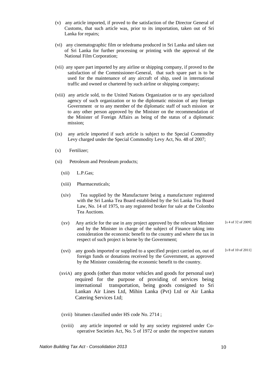- (v) any article imported, if proved to the satisfaction of the Director General of Customs, that such article was, prior to its importation, taken out of Sri Lanka for repairs;
- (vi) any cinematographic film or teledrama produced in Sri Lanka and taken out of Sri Lanka for further processing or printing with the approval of the National Film Corporation;
- (vii) any spare part imported by any airline or shipping company, if proved to the satisfaction of the Commissioner-General, that such spare part is to be used for the maintenance of any aircraft of ship, used in international traffic and owned or chartered by such airline or shipping company;
- (viii) any article sold, to the United Nations Organization or to any specialized agency of such organization or to the diplomatic mission of any foreign Government or to any member of the diplomatic staff of such mission or to any other person approved by the Minister on the recommendation of the Minister of Foreign Affairs as being of the status of a diplomatic mission;
- (ix) any article imported if such article is subject to the Special Commodity Levy charged under the Special Commodity Levy Act, No. 48 of 2007;
- (x) Fertilizer;
- (xi) Petroleum and Petroleum products;
	- (xii) L.P.Gas;
	- (xiii) Pharmaceuticals;
	- (xiv) Tea supplied by the Manufacturer being a manufacturer registered with the Sri Lanka Tea Board established by the Sri Lanka Tea Board Law, No. 14 of 1975, to any registered broker for sale at the Colombo Tea Auctions.
	- (xv) Any article for the use in any project approved by the relevant Minister and by the Minister in charge of the subject of Finance taking into consideration the economic benefit to the country and where the tax in respect of such project is borne by the Government; [s 4 of 32 of 2009]
	- (xvi) any goods imported or supplied to a specified project carried on, out of foreign funds or donations received by the Government, as approved by the Minister considering the economic benefit to the country. [s 8 of 10 of 2011]
	- (xviA) any goods (other than motor vehicles and goods for personal use) required for the purpose of providing of services being international transportation, being goods consigned to Sri Lankan Air Lines Ltd, Mihin Lanka (Pvt) Ltd or Air Lanka Catering Services Ltd;
	- (xvii) bitumen classified under HS code No. 2714 ;
	- (xviii) any article imported or sold by any society registered under Cooperative Societies Act, No. 5 of 1972 or under the respective statutes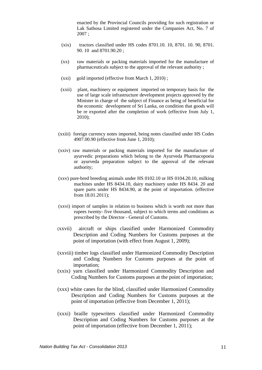enacted by the Provincial Councils providing for such registration or Lak Sathosa Limited registered under the Companies Act, No. 7 of 2007 ;

- (xix) tractors classified under HS codes 8701.10. 10, 8701. 10. 90, 8701. 90. 10 and 8701.90.20 ;
- (xx) raw materials or packing materials imported for the manufacture of pharmaceuticals subject to the approval of the relevant authority ;
- (xxi) gold imported (effective from March 1, 2010) ;
- (xxii) plant, machinery or equipment imported on temporary basis for the use of large scale infrastructure development projects approved by the Minister in charge of the subject of Finance as being of beneficial for the economic development of Sri Lanka, on condition that goods will be re exported after the completion of work (effective from July 1, 2010);
- (xxiii) foreign currency notes imported, being notes classified under HS Codes 4907.00.90 (effective from June 1, 2010);
- (xxiv) raw materials or packing materials imported for the manufacture of ayurvedic preparations which belong to the Ayurveda Pharmacopoeia or ayurveda preparation subject to the approval of the relevant authority;
- (xxv) pure-bred breeding animals under HS 0102.10 or HS 0104.20.10, milking machines under HS 8434.10, dairy machinery under HS 8434. 20 and spare parts under HS 8434.90, at the point of importation. (effective from 18.01.2011);
- (xxvi) import of samples in relation to business which is worth not more than rupees twenty- five thousand, subject to which terms and conditions as prescribed by the Director - General of Customs.
- (xxvii) aircraft or ships classified under Harmonized Commodity Description and Coding Numbers for Customs purposes at the point of importation (with effect from August 1, 2009);
- (xxviii) timber logs classified under Harmonized Commodity Description and Coding Numbers for Customs purposes at the point of importation;
- (xxix) yarn classified under Harmonized Commodity Description and Coding Numbers for Customs purposes at the point of importation;
- (xxx) white canes for the blind, classified under Harmonized Commodity Description and Coding Numbers for Customs purposes at the point of importation (effective from December 1, 2011);
- (xxxi) braille typewriters classified under Harmonized Commodity Description and Coding Numbers for Customs purposes at the point of importation (effective from December 1, 2011);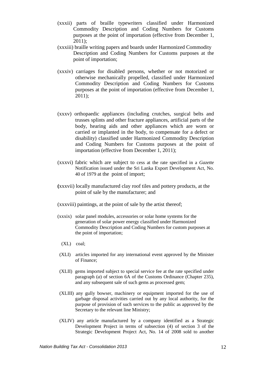- (xxxii) parts of braille typewriters classified under Harmonized Commodity Description and Coding Numbers for Customs purposes at the point of importation (effective from December 1, 2011);
- (xxxiii) braille writing papers and boards under Harmonized Commodity Description and Coding Numbers for Customs purposes at the point of importation;
- (xxxiv) carriages for disabled persons, whether or not motorized or otherwise mechanically propelled, classified under Harmonized Commodity Description and Coding Numbers for Customs purposes at the point of importation (effective from December 1, 2011);
- (xxxv) orthopaedic appliances (including crutches, surgical belts and trusses splints and other fracture appliances, artificial parts of the body, hearing aids and other appliances which are worn or carried or implanted in the body, to compensate for a defect or disability) classified under Harmonized Commodity Description and Coding Numbers for Customs purposes at the point of importation (effective from December 1, 2011);
- (xxxvi) fabric which are subject to cess at the rate specified in a *Gazette*  Notification issued under the Sri Lanka Export Development Act, No. 40 of 1979 at the point of import;
- **(**xxxvii) locally manufactured clay roof tiles and pottery products, at the point of sale by the manufacturer; and
- (xxxviii) paintings, at the point of sale by the artist thereof;
- (xxxix) solar panel modules, accessories or solar home systems for the generation of solar power energy classified under Harmonized Commodity Description and Coding Numbers for custom purposes at the point of importation;
	- (XL) coal;
- (XLI) articles imported for any international event approved by the Minister of Finance;
- (XLII) gems imported subject to special service fee at the rate specified under paragraph (*a*) of section 6A of the Customs Ordinance (Chapter 235), and any subsequent sale of such gems as processed gem;
- (XLIII) any gully bowser, machinery or equipment imported for the use of garbage disposal activities carried out by any local authority, for the purpose of provision of such services to the public as approved by the Secretary to the relevant line Ministry;
- (XLIV) any article manufactured by a company identified as a Strategic Development Project in terms of subsection (4) of section 3 of the Strategic Development Project Act, No. 14 of 2008 sold to another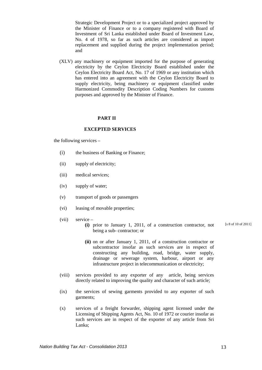Strategic Development Project or to a specialized project approved by the Minister of Finance or to a company registered with Board of Investment of Sri Lanka established under Board of Investment Law, No. 4 of 1978, so far as such articles are considered as import replacement and supplied during the project implementation period; and

(XLV) any machinery or equipment imported for the purpose of generating electricity by the Ceylon Electricity Board established under the Ceylon Electricity Board Act, No. 17 of 1969 or any institution which has entered into an agreement with the Ceylon Electricity Board to supply electricity, being machinery or equipment classified under Harmonized Commodity Description Coding Numbers for customs purposes and approved by the Minister of Finance.

#### **PART II**

#### **EXCEPTED SERVICES**

the following services –

- (i) the business of Banking or Finance;
- (ii) supply of electricity;
- (iii) medical services;
- (iv) supply of water;
- (v) transport of goods or passengers
- (vi) leasing of movable properties;
- (vii) service
	- **(i)** prior to January 1, 2011, of a construction contractor, not being a sub- contractor; or [s 8 of 10 of 2011]
	- **(ii)** on or after January 1, 2011, of a construction contractor or subcontractor insofar as such services are in respect of constructing any building, road, bridge, water supply, drainage or sewerage system, harbour, airport or any infrastructure project in telecommunication or electricity;
- (viii) services provided to any exporter of any article, being services directly related to improving the quality and character of such article;
- (ix) the services of sewing garments provided to any exporter of such garments;
- (x) services of a freight forwarder, shipping agent licensed under the Licensing of Shipping Agents Act, No. 10 of 1972 or courier insofar as such services are in respect of the exporter of any article from Sri Lanka;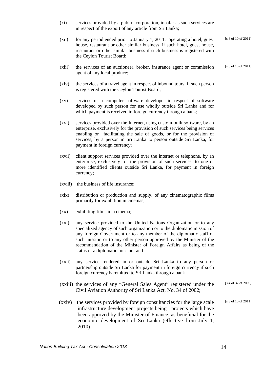- (xi) services provided by a public corporation, insofar as such services are in respect of the export of any article from Sri Lanka;
- (xii) for any period ended prior to January 1, 2011, operating a hotel, guest house, restaurant or other similar business, if such hotel, guest house, restaurant or other similar business if such business is registered with the Ceylon Tourist Board; [s 8 of 10 of 2011]
- (xiii) the services of an auctioneer, broker, insurance agent or commission agent of any local produce; [s 8 of 10 of 2011]
- (xiv) the services of a travel agent in respect of inbound tours, if such person is registered with the Ceylon Tourist Board;
- (xv) services of a computer software developer in respect of software developed by such person for use wholly outside Sri Lanka and for which payment is received in foreign currency through a bank;
- (xvi) services provided over the Internet, using custom-built software, by an enterprise, exclusively for the provision of such services being services enabling or facilitating the sale of goods, or for the provision of services, by a person in Sri Lanka to person outside Sri Lanka, for payment in foreign currency;
- (xvii) client support services provided over the internet or telephone, by an enterprise, exclusively for the provision of such services, to one or more identified clients outside Sri Lanka, for payment in foreign currency;
- (xviii) the business of life insurance;
- (xix) distribution or production and supply, of any cinematographic films primarily for exhibition in cinemas;
- (xx) exhibiting films in a cinema;
- (xxi) any service provided to the United Nations Organization or to any specialized agency of such organization or to the diplomatic mission of any foreign Government or to any member of the diplomatic staff of such mission or to any other person approved by the Minister of the recommendation of the Minister of Foreign Affairs as being of the status of a diplomatic mission; and
- (xxii) any service rendered in or outside Sri Lanka to any person or partnership outside Sri Lanka for payment in foreign currency if such foreign currency is remitted to Sri Lanka through a bank
- (xxiii) the services of any "General Sales Agent" registered under the Civil Aviation Authority of Sri Lanka Act, No. 34 of 2002; [s 4 of 32 of 2009]
- (xxiv) the services provided by foreign consultancies for the large scale infrastructure development projects being projects which have been approved by the Minister of Finance, as beneficial for the economic development of Sri Lanka (effective from July 1, 2010) [s 8 of 10 of 2011]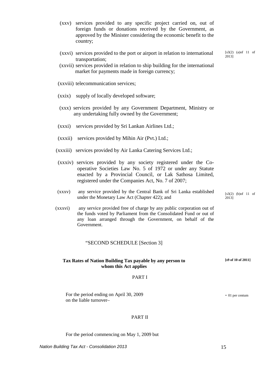- (xxv) services provided to any specific project carried on, out of foreign funds or donations received by the Government, as approved by the Minister considering the economic benefit to the country;
- (xxvi) services provided to the port or airport in relation to international transportation;
- (xxvii) services provided in relation to ship building for the international market for payments made in foreign currency;
- (xxviii) telecommunication services;
- (xxix) supply of locally developed software;
- (xxx) services provided by any Government Department, Ministry or any undertaking fully owned by the Government;
- (xxxi) services provided by Sri Lankan Airlines Ltd.;
- (xxxii) services provided by Mihin Air (Pvt.) Ltd.;
- (xxxiii) services provided by Air Lanka Catering Services Ltd.;
- (xxxiv) services provided by any society registered under the Cooperative Societies Law No. 5 of 1972 or under any Statute enacted by a Provincial Council, or Lak Sathosa Limited, registered under the Companies Act, No. 7 of 2007;
- (xxxv) any service provided by the Central Bank of Sri Lanka established under the Monetary Law Act (Chapter 422); and
- (xxxvi) any service provided free of charge by any public corporation out of the funds voted by Parliament from the Consolidated Fund or out of any loan arranged through the Government, on behalf of the Government.

#### "SECOND SCHEDULE [Section 3]

#### **Tax Rates of Nation Building Tax payable by any person to whom this Act applies**

#### PART I

For the period ending on April 30, 2009 on the liable turnover–

#### PART II

For the period commencing on May 1, 2009 but

 $[s3(2)$  (a)of 11 of 2013]

[s3(2) (b)of 11 of 2013]

- 01 per centum

**[s9 of 10 of 2011]**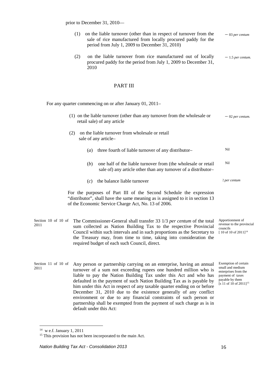prior to December 31, 2010—

- (1) on the liable turnover (other than in respect of turnover from the sale of rice manufactured from locally procured paddy for the period from July 1, 2009 to December 31, 2010) – <sup>03</sup>*per centum*
- (2) on the liable turnover from rice manufactured out of locally procured paddy for the period from July 1, 2009 to December 31, 2010 – 1.5 *per centum.*

### PART III

For any quarter commencing on or after January 01, 2011–

|                             | (1) on the liable turnover (other than any turnover from the wholesale or<br>retail sale) of any article                                                                                                                                                                                                                                                            | $-02$ per centum.                                                                                                                             |
|-----------------------------|---------------------------------------------------------------------------------------------------------------------------------------------------------------------------------------------------------------------------------------------------------------------------------------------------------------------------------------------------------------------|-----------------------------------------------------------------------------------------------------------------------------------------------|
|                             | on the liable turnover from wholesale or retail<br>(2)<br>sale of any article-                                                                                                                                                                                                                                                                                      |                                                                                                                                               |
|                             | three fourth of liable turnover of any distributor-<br>$\left( a\right)$                                                                                                                                                                                                                                                                                            | Nil                                                                                                                                           |
|                             | one half of the liable turnover from (the wholesale or retail<br>( <i>b</i> )<br>sale of) any article other than any turnover of a distributor-                                                                                                                                                                                                                     | Nil                                                                                                                                           |
|                             | the balance liable turnover<br>(c)                                                                                                                                                                                                                                                                                                                                  | 2 per centum                                                                                                                                  |
|                             | For the purposes of Part III of the Second Schedule the expression<br>"distributor", shall have the same meaning as is assigned to it in section 13<br>of the Economic Service Charge Act, No. 13 of 2006.                                                                                                                                                          |                                                                                                                                               |
| Section 10 of 10 of<br>2011 | The Commissioner-General shall transfer 33 1/3 per centum of the total<br>sum collected as Nation Building Tax to the respective Provincial<br>Council within such intervals and in such proportions as the Secretary to<br>the Treasury may, from time to time, taking into consideration the<br>required budget of each such Council, direct.                     | Apportionment of<br>revenue to the provincial<br>councils<br>$[10$ of 10 of 2011] <sup>14</sup>                                               |
| Section 11 of 10 of<br>2011 | Any person or partnership carrying on an enterprise, having an annual<br>turnover of a sum not exceeding rupees one hundred million who is<br>liable to pay the Nation Building Tax under this Act and who has<br>defaulted in the payment of such Nation Building Tax as is payable by<br>him under this Act in respect of any taxable quarter ending on or before | Exemption of certain<br>small and medium<br>enterprises from the<br>payment of taxes<br>payable by them<br>[s 11 of 10 of 2011] <sup>15</sup> |

December 31, 2010 due to the existence generally of any conflict environment or due to any financial constraints of such person or partnership shall be exempted from the payment of such charge as is in

-

default under this Act:

<span id="page-15-0"></span> $14$  w e.f. January 1, 2011

<span id="page-15-1"></span><sup>&</sup>lt;sup>15</sup> This provision has not been incorporated to the main Act.